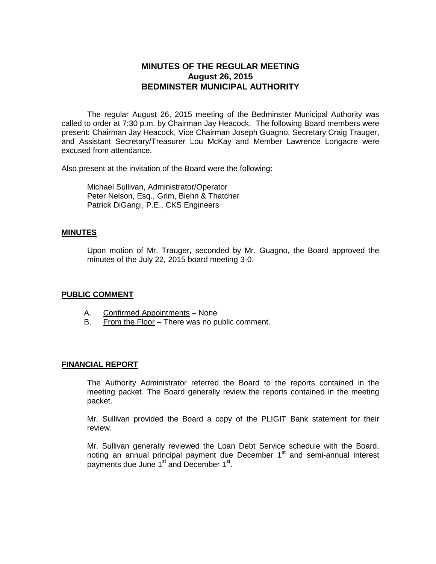# **MINUTES OF THE REGULAR MEETING August 26, 2015 BEDMINSTER MUNICIPAL AUTHORITY**

The regular August 26, 2015 meeting of the Bedminster Municipal Authority was called to order at 7:30 p.m. by Chairman Jay Heacock. The following Board members were present: Chairman Jay Heacock, Vice Chairman Joseph Guagno, Secretary Craig Trauger, and Assistant Secretary/Treasurer Lou McKay and Member Lawrence Longacre were excused from attendance.

Also present at the invitation of the Board were the following:

Michael Sullivan, Administrator/Operator Peter Nelson, Esq., Grim, Biehn & Thatcher Patrick DiGangi, P.E., CKS Engineers

#### **MINUTES**

Upon motion of Mr. Trauger, seconded by Mr. Guagno, the Board approved the minutes of the July 22, 2015 board meeting 3-0.

#### **PUBLIC COMMENT**

- A. Confirmed Appointments None
- B. From the Floor There was no public comment.

#### **FINANCIAL REPORT**

The Authority Administrator referred the Board to the reports contained in the meeting packet. The Board generally review the reports contained in the meeting packet.

Mr. Sullivan provided the Board a copy of the PLIGIT Bank statement for their review.

Mr. Sullivan generally reviewed the Loan Debt Service schedule with the Board, noting an annual principal payment due December  $1<sup>st</sup>$  and semi-annual interest payments due June 1<sup>st</sup> and December 1<sup>st</sup>.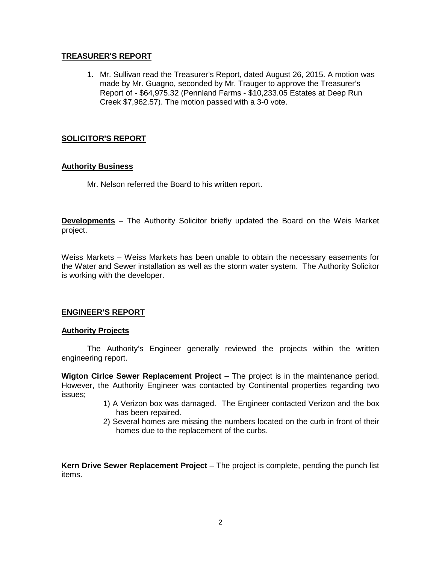### **TREASURER'S REPORT**

1. Mr. Sullivan read the Treasurer's Report, dated August 26, 2015. A motion was made by Mr. Guagno, seconded by Mr. Trauger to approve the Treasurer's Report of - \$64,975.32 (Pennland Farms - \$10,233.05 Estates at Deep Run Creek \$7,962.57). The motion passed with a 3-0 vote.

### **SOLICITOR'S REPORT**

### **Authority Business**

Mr. Nelson referred the Board to his written report.

**Developments** – The Authority Solicitor briefly updated the Board on the Weis Market project.

Weiss Markets – Weiss Markets has been unable to obtain the necessary easements for the Water and Sewer installation as well as the storm water system. The Authority Solicitor is working with the developer.

### **ENGINEER'S REPORT**

#### **Authority Projects**

The Authority's Engineer generally reviewed the projects within the written engineering report.

**Wigton Cirlce Sewer Replacement Project** – The project is in the maintenance period. However, the Authority Engineer was contacted by Continental properties regarding two issues;

- 1) A Verizon box was damaged. The Engineer contacted Verizon and the box has been repaired.
- 2) Several homes are missing the numbers located on the curb in front of their homes due to the replacement of the curbs.

**Kern Drive Sewer Replacement Project** – The project is complete, pending the punch list items.